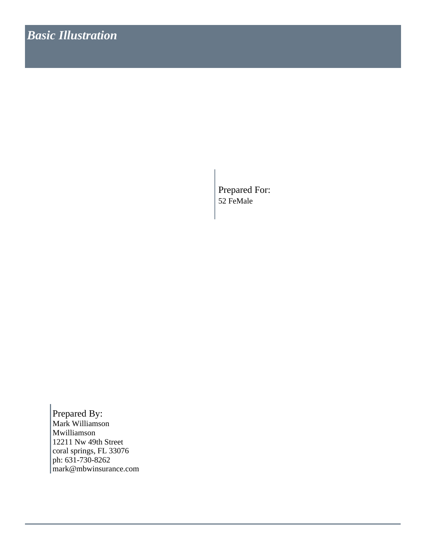Prepared For: 52 FeMale

mark@mbwinsurance.com ph: 631-730-8262 coral springs, FL 33076 12211 Nw 49th Street Mwilliamson Mark Williamson Prepared By: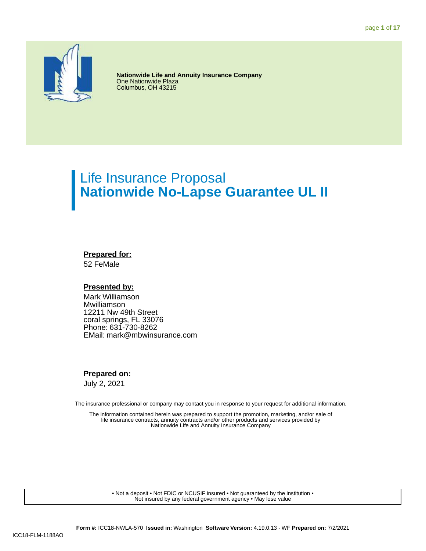

**Nationwide Life and Annuity Insurance Company One Nationwide Plaza** Columbus, OH 43215

# Life Insurance Proposal **Nationwide No-Lapse Guarantee UL II**

### **Prepared for:**

52 FeMale

### **Presented by:**

Mark Williamson Mwilliamson 12211 Nw 49th Street coral springs, FL 33076 Phone: 631-730-8262 EMail: mark@mbwinsurance.com

### **Prepared on:**

July 2, 2021

The insurance professional or company may contact you in response to your request for additional information.

The information contained herein was prepared to support the promotion, marketing, and/or sale of life insurance contracts, annuity contracts and/or other products and services provided by Nationwide Life and Annuity Insurance Company

• Not a deposit • Not FDIC or NCUSIF insured • Not guaranteed by the institution • Not insured by any federal government agency • May lose value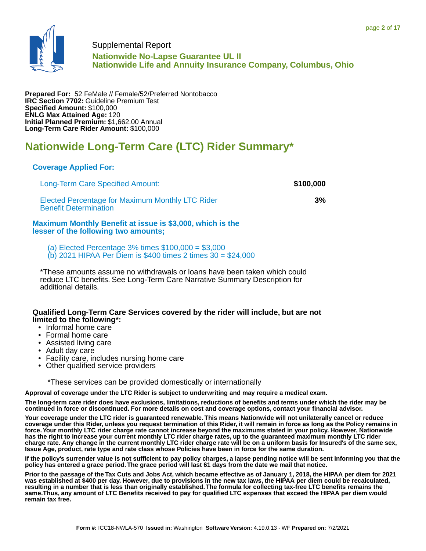

### Supplemental Report **Nationwide No-Lapse Guarantee UL II Nationwide Life and Annuity Insurance Company, Columbus, Ohio**

**Prepared For:** 52 FeMale // Female/52/Preferred Nontobacco **IRC Section 7702:** Guideline Premium Test **Specified Amount:** \$100,000 **ENLG Max Attained Age:** 120 **Initial Planned Premium:** \$1,662.00 Annual **Long-Term Care Rider Amount:** \$100,000

# **Nationwide Long-Term Care (LTC) Rider Summary\***

### **Coverage Applied For:**

Long-Term Care Specified Amount: **\$100,000** Elected Percentage for Maximum Monthly LTC Rider Benefit Determination **Maximum Monthly Benefit at issue is \$3,000, which is the lesser of the following two amounts;**

(a) Elected Percentage 3% times \$100,000 = \$3,000  $(b)$  2021 HIPAA Per Diem is \$400 times 2 times 30 = \$24,000

\*These amounts assume no withdrawals or loans have been taken which could reduce LTC benefits. See Long-Term Care Narrative Summary Description for additional details.

### **Qualified Long-Term Care Services covered by the rider will include, but are not limited to the following\*:**

- Informal home care
- Formal home care
- Assisted living care
- Adult day care
- Facility care, includes nursing home care
- Other qualified service providers

\*These services can be provided domestically or internationally

**Approval of coverage under the LTC Rider is subject to underwriting and may require a medical exam.**

**The long-term care rider does have exclusions, limitations, reductions of benefits and terms under which the rider may be continued in force or discontinued. For more details on cost and coverage options, contact your financial advisor.**

**Your coverage under the LTC rider is guaranteed renewable. This means Nationwide will not unilaterally cancel or reduce coverage under this Rider, unless you request termination of this Rider, it will remain in force as long as the Policy remains in force. Your monthly LTC rider charge rate cannot increase beyond the maximums stated in your policy. However, Nationwide has the right to increase your current monthly LTC rider charge rates, up to the guaranteed maximum monthly LTC rider charge rate. Any change in the current monthly LTC rider charge rate will be on a uniform basis for Insured's of the same sex, Issue Age, product, rate type and rate class whose Policies have been in force for the same duration.**

**If the policy's surrender value is not sufficient to pay policy charges, a lapse pending notice will be sent informing you that the policy has entered a grace period. The grace period will last 61 days from the date we mail that notice.**

**Prior to the passage of the Tax Cuts and Jobs Act, which became effective as of January 1, 2018, the HIPAA per diem for 2021 was established at \$400 per day. However, due to provisions in the new tax laws, the HIPAA per diem could be recalculated, resulting in a number that is less than originally established. The formula for collecting tax-free LTC benefits remains the same.Thus, any amount of LTC Benefits received to pay for qualified LTC expenses that exceed the HIPAA per diem would remain tax free.**

**3%**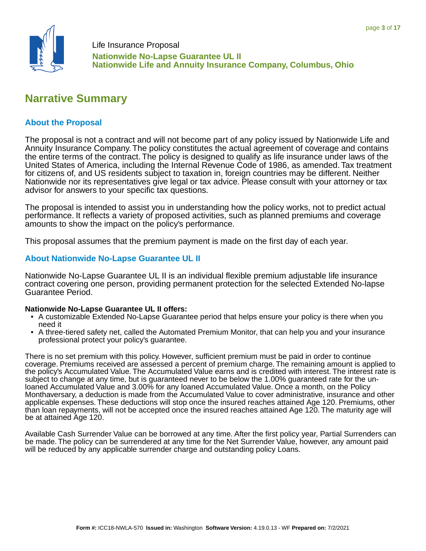

# **Narrative Summary**

### **About the Proposal**

The proposal is not a contract and will not become part of any policy issued by Nationwide Life and Annuity Insurance Company. The policy constitutes the actual agreement of coverage and contains the entire terms of the contract. The policy is designed to qualify as life insurance under laws of the United States of America, including the Internal Revenue Code of 1986, as amended. Tax treatment for citizens of, and US residents subject to taxation in, foreign countries may be different. Neither Nationwide nor its representatives give legal or tax advice. Please consult with your attorney or tax advisor for answers to your specific tax questions.

The proposal is intended to assist you in understanding how the policy works, not to predict actual performance. It reflects a variety of proposed activities, such as planned premiums and coverage amounts to show the impact on the policy's performance.

This proposal assumes that the premium payment is made on the first day of each year.

### **About Nationwide No-Lapse Guarantee UL II**

Nationwide No-Lapse Guarantee UL II is an individual flexible premium adjustable life insurance contract covering one person, providing permanent protection for the selected Extended No-lapse Guarantee Period.

### **Nationwide No-Lapse Guarantee UL II offers:**

- A customizable Extended No-Lapse Guarantee period that helps ensure your policy is there when you need it
- A three-tiered safety net, called the Automated Premium Monitor, that can help you and your insurance professional protect your policy's guarantee.

There is no set premium with this policy. However, sufficient premium must be paid in order to continue coverage. Premiums received are assessed a percent of premium charge. The remaining amount is applied to the policy's Accumulated Value. The Accumulated Value earns and is credited with interest. The interest rate is subject to change at any time, but is guaranteed never to be below the 1.00% guaranteed rate for the unloaned Accumulated Value and 3.00% for any loaned Accumulated Value. Once a month, on the Policy Monthaversary, a deduction is made from the Accumulated Value to cover administrative, insurance and other applicable expenses. These deductions will stop once the insured reaches attained Age 120. Premiums, other than loan repayments, will not be accepted once the insured reaches attained Age 120. The maturity age will be at attained Age 120.

Available Cash Surrender Value can be borrowed at any time. After the first policy year, Partial Surrenders can be made. The policy can be surrendered at any time for the Net Surrender Value, however, any amount paid will be reduced by any applicable surrender charge and outstanding policy Loans.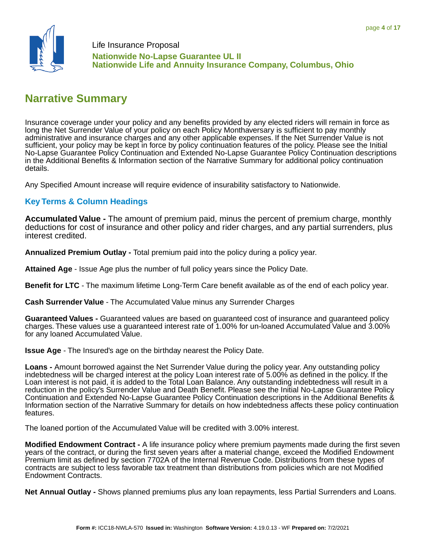

# **Narrative Summary**

Insurance coverage under your policy and any benefits provided by any elected riders will remain in force as long the Net Surrender Value of your policy on each Policy Monthaversary is sufficient to pay monthly administrative and insurance charges and any other applicable expenses. If the Net Surrender Value is not sufficient, your policy may be kept in force by policy continuation features of the policy. Please see the Initial No-Lapse Guarantee Policy Continuation and Extended No-Lapse Guarantee Policy Continuation descriptions in the Additional Benefits & Information section of the Narrative Summary for additional policy continuation details.

Any Specified Amount increase will require evidence of insurability satisfactory to Nationwide.

### **Key Terms & Column Headings**

**Accumulated Value -** The amount of premium paid, minus the percent of premium charge, monthly deductions for cost of insurance and other policy and rider charges, and any partial surrenders, plus interest credited.

**Annualized Premium Outlay -** Total premium paid into the policy during a policy year.

**Attained Age** - Issue Age plus the number of full policy years since the Policy Date.

**Benefit for LTC** - The maximum lifetime Long-Term Care benefit available as of the end of each policy year.

**Cash Surrender Value** - The Accumulated Value minus any Surrender Charges

**Guaranteed Values -** Guaranteed values are based on guaranteed cost of insurance and guaranteed policy charges. These values use a guaranteed interest rate of 1.00% for un-loaned Accumulated Value and 3.00% for any loaned Accumulated Value.

**Issue Age** - The Insured's age on the birthday nearest the Policy Date.

**Loans -** Amount borrowed against the Net Surrender Value during the policy year. Any outstanding policy indebtedness will be charged interest at the policy Loan interest rate of 5.00% as defined in the policy. If the Loan interest is not paid, it is added to the Total Loan Balance. Any outstanding indebtedness will result in a reduction in the policy's Surrender Value and Death Benefit. Please see the Initial No-Lapse Guarantee Policy Continuation and Extended No-Lapse Guarantee Policy Continuation descriptions in the Additional Benefits & Information section of the Narrative Summary for details on how indebtedness affects these policy continuation features.

The loaned portion of the Accumulated Value will be credited with 3.00% interest.

**Modified Endowment Contract -** A life insurance policy where premium payments made during the first seven years of the contract, or during the first seven years after a material change, exceed the Modified Endowment Premium limit as defined by section 7702A of the Internal Revenue Code. Distributions from these types of contracts are subject to less favorable tax treatment than distributions from policies which are not Modified Endowment Contracts.

**Net Annual Outlay -** Shows planned premiums plus any loan repayments, less Partial Surrenders and Loans.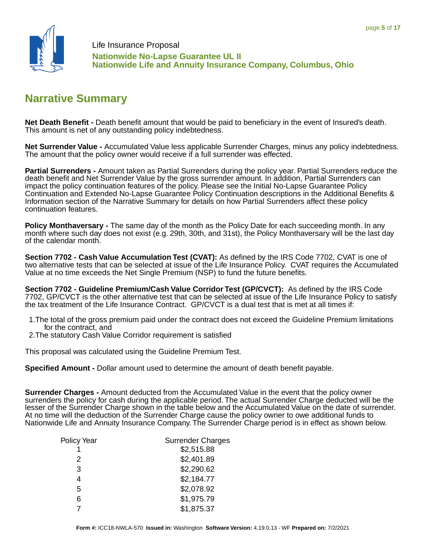

# **Narrative Summary**

**Net Death Benefit -** Death benefit amount that would be paid to beneficiary in the event of Insured's death. This amount is net of any outstanding policy indebtedness.

**Net Surrender Value -** Accumulated Value less applicable Surrender Charges, minus any policy indebtedness. The amount that the policy owner would receive if a full surrender was effected.

**Partial Surrenders -** Amount taken as Partial Surrenders during the policy year. Partial Surrenders reduce the death benefit and Net Surrender Value by the gross surrender amount. In addition, Partial Surrenders can impact the policy continuation features of the policy. Please see the Initial No-Lapse Guarantee Policy Continuation and Extended No-Lapse Guarantee Policy Continuation descriptions in the Additional Benefits & Information section of the Narrative Summary for details on how Partial Surrenders affect these policy continuation features.

**Policy Monthaversary -** The same day of the month as the Policy Date for each succeeding month. In any month where such day does not exist (e.g. 29th, 30th, and 31st), the Policy Monthaversary will be the last day of the calendar month.

**Section 7702 - Cash Value Accumulation Test (CVAT):** As defined by the IRS Code 7702, CVAT is one of two alternative tests that can be selected at issue of the Life Insurance Policy. CVAT requires the Accumulated Value at no time exceeds the Net Single Premium (NSP) to fund the future benefits.

**Section 7702 - Guideline Premium/Cash Value Corridor Test (GP/CVCT):** As defined by the IRS Code 7702, GP/CVCT is the other alternative test that can be selected at issue of the Life Insurance Policy to satisfy the tax treatment of the Life Insurance Contract. GP/CVCT is a dual test that is met at all times if:

- 1.The total of the gross premium paid under the contract does not exceed the Guideline Premium limitations for the contract, and
- 2.The statutory Cash Value Corridor requirement is satisfied

This proposal was calculated using the Guideline Premium Test.

**Specified Amount -** Dollar amount used to determine the amount of death benefit payable.

**Surrender Charges -** Amount deducted from the Accumulated Value in the event that the policy owner surrenders the policy for cash during the applicable period. The actual Surrender Charge deducted will be the lesser of the Surrender Charge shown in the table below and the Accumulated Value on the date of surrender. At no time will the deduction of the Surrender Charge cause the policy owner to owe additional funds to Nationwide Life and Annuity Insurance Company. The Surrender Charge period is in effect as shown below.

| Policy Year | <b>Surrender Charges</b> |
|-------------|--------------------------|
|             | \$2,515.88               |
| 2           | \$2,401.89               |
| 3           | \$2,290.62               |
| 4           | \$2,184.77               |
| 5           | \$2,078.92               |
| 6           | \$1,975.79               |
|             | \$1,875.37               |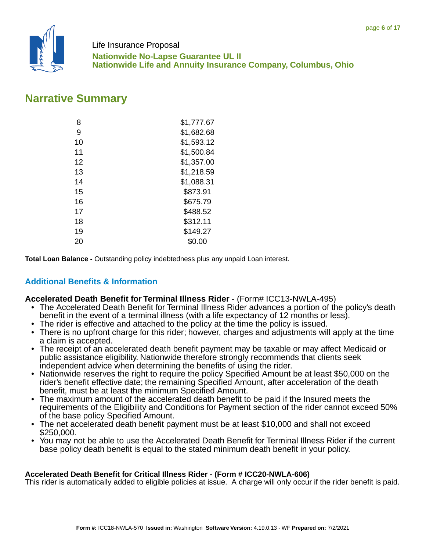

# **Narrative Summary**

| 8  | \$1,777.67 |
|----|------------|
| 9  | \$1,682.68 |
| 10 | \$1,593.12 |
| 11 | \$1,500.84 |
| 12 | \$1,357.00 |
| 13 | \$1,218.59 |
| 14 | \$1,088.31 |
| 15 | \$873.91   |
| 16 | \$675.79   |
| 17 | \$488.52   |
| 18 | \$312.11   |
| 19 | \$149.27   |
| 20 | \$0.00     |

**Total Loan Balance -** Outstanding policy indebtedness plus any unpaid Loan interest.

## **Additional Benefits & Information**

### **Accelerated Death Benefit for Terminal Illness Rider** - (Form# ICC13-NWLA-495)

- The Accelerated Death Benefit for Terminal Illness Rider advances a portion of the policy's death benefit in the event of a terminal illness (with a life expectancy of 12 months or less).
- The rider is effective and attached to the policy at the time the policy is issued.
- There is no upfront charge for this rider; however, charges and adjustments will apply at the time a claim is accepted.
- The receipt of an accelerated death benefit payment may be taxable or may affect Medicaid or public assistance eligibility. Nationwide therefore strongly recommends that clients seek independent advice when determining the benefits of using the rider.
- Nationwide reserves the right to require the policy Specified Amount be at least \$50,000 on the rider's benefit effective date; the remaining Specified Amount, after acceleration of the death benefit, must be at least the minimum Specified Amount.
- The maximum amount of the accelerated death benefit to be paid if the Insured meets the requirements of the Eligibility and Conditions for Payment section of the rider cannot exceed 50% of the base policy Specified Amount.
- The net accelerated death benefit payment must be at least \$10,000 and shall not exceed \$250,000.
- You may not be able to use the Accelerated Death Benefit for Terminal Illness Rider if the current base policy death benefit is equal to the stated minimum death benefit in your policy.

### **Accelerated Death Benefit for Critical Illness Rider - (Form # ICC20-NWLA-606)**

This rider is automatically added to eligible policies at issue. A charge will only occur if the rider benefit is paid.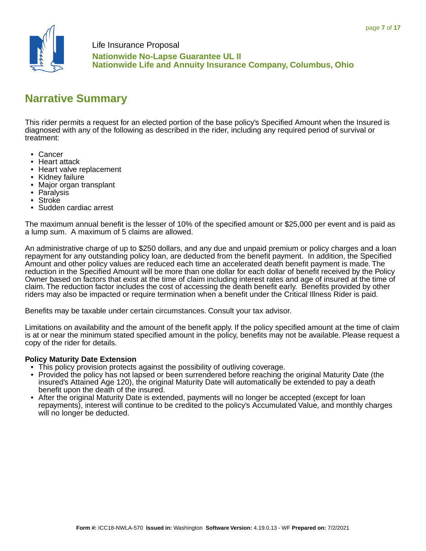

**Nationwide No-Lapse Guarantee UL II Nationwide Life and Annuity Insurance Company, Columbus, Ohio**

# **Narrative Summary**

This rider permits a request for an elected portion of the base policy's Specified Amount when the Insured is diagnosed with any of the following as described in the rider, including any required period of survival or treatment:

- Cancer
- Heart attack
- Heart valve replacement
- Kidney failure
- Major organ transplant
- Paralysis
- **Stroke**
- Sudden cardiac arrest

The maximum annual benefit is the lesser of 10% of the specified amount or \$25,000 per event and is paid as a lump sum. A maximum of 5 claims are allowed.

An administrative charge of up to \$250 dollars, and any due and unpaid premium or policy charges and a loan repayment for any outstanding policy loan, are deducted from the benefit payment. In addition, the Specified Amount and other policy values are reduced each time an accelerated death benefit payment is made. The reduction in the Specified Amount will be more than one dollar for each dollar of benefit received by the Policy Owner based on factors that exist at the time of claim including interest rates and age of insured at the time of claim. The reduction factor includes the cost of accessing the death benefit early. Benefits provided by other riders may also be impacted or require termination when a benefit under the Critical Illness Rider is paid.

Benefits may be taxable under certain circumstances. Consult your tax advisor.

Limitations on availability and the amount of the benefit apply. If the policy specified amount at the time of claim is at or near the minimum stated specified amount in the policy, benefits may not be available. Please request a copy of the rider for details.

### **Policy Maturity Date Extension**

- This policy provision protects against the possibility of outliving coverage.
- Provided the policy has not lapsed or been surrendered before reaching the original Maturity Date (the insured's Attained Age 120), the original Maturity Date will automatically be extended to pay a death benefit upon the death of the insured.
- After the original Maturity Date is extended, payments will no longer be accepted (except for loan repayments), interest will continue to be credited to the policy's Accumulated Value, and monthly charges will no longer be deducted.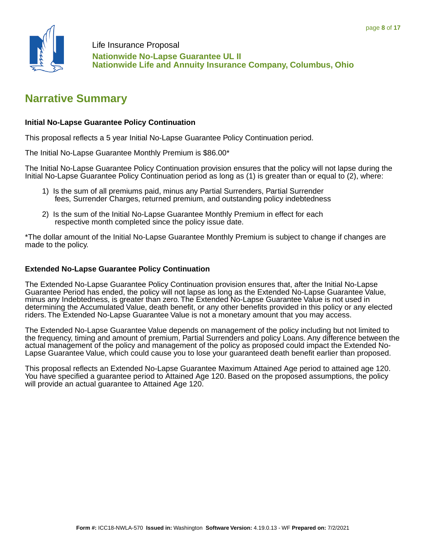

# **Narrative Summary**

### **Initial No-Lapse Guarantee Policy Continuation**

This proposal reflects a 5 year Initial No-Lapse Guarantee Policy Continuation period.

The Initial No-Lapse Guarantee Monthly Premium is \$86.00\*

The Initial No-Lapse Guarantee Policy Continuation provision ensures that the policy will not lapse during the Initial No-Lapse Guarantee Policy Continuation period as long as (1) is greater than or equal to (2), where:

- 1) Is the sum of all premiums paid, minus any Partial Surrenders, Partial Surrender fees, Surrender Charges, returned premium, and outstanding policy indebtedness
- 2) Is the sum of the Initial No-Lapse Guarantee Monthly Premium in effect for each respective month completed since the policy issue date.

\*The dollar amount of the Initial No-Lapse Guarantee Monthly Premium is subject to change if changes are made to the policy.

### **Extended No-Lapse Guarantee Policy Continuation**

The Extended No-Lapse Guarantee Policy Continuation provision ensures that, after the Initial No-Lapse Guarantee Period has ended, the policy will not lapse as long as the Extended No-Lapse Guarantee Value, minus any Indebtedness, is greater than zero. The Extended No-Lapse Guarantee Value is not used in determining the Accumulated Value, death benefit, or any other benefits provided in this policy or any elected riders. The Extended No-Lapse Guarantee Value is not a monetary amount that you may access.

The Extended No-Lapse Guarantee Value depends on management of the policy including but not limited to the frequency, timing and amount of premium, Partial Surrenders and policy Loans. Any difference between the actual management of the policy and management of the policy as proposed could impact the Extended No-Lapse Guarantee Value, which could cause you to lose your guaranteed death benefit earlier than proposed.

This proposal reflects an Extended No-Lapse Guarantee Maximum Attained Age period to attained age 120. You have specified a guarantee period to Attained Age 120. Based on the proposed assumptions, the policy will provide an actual guarantee to Attained Age 120.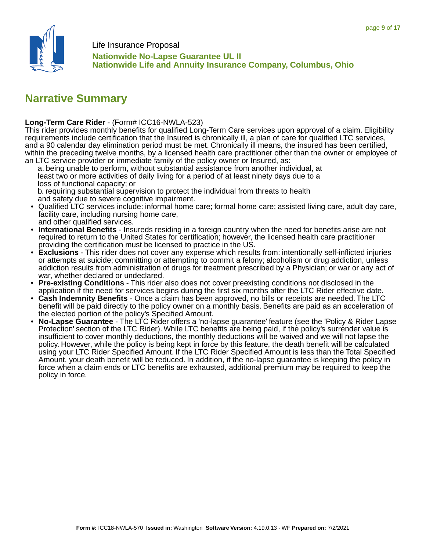

**Nationwide No-Lapse Guarantee UL II Nationwide Life and Annuity Insurance Company, Columbus, Ohio**

# **Narrative Summary**

### **Long-Term Care Rider** - (Form# ICC16-NWLA-523)

This rider provides monthly benefits for qualified Long-Term Care services upon approval of a claim. Eligibility requirements include certification that the Insured is chronically ill, a plan of care for qualified LTC services, and a 90 calendar day elimination period must be met. Chronically ill means, the insured has been certified, within the preceding twelve months, by a licensed health care practitioner other than the owner or employee of an LTC service provider or immediate family of the policy owner or Insured, as:

 a. being unable to perform, without substantial assistance from another individual, at least two or more activities of daily living for a period of at least ninety days due to a loss of functional capacity; or

 b. requiring substantial supervision to protect the individual from threats to health and safety due to severe cognitive impairment.

- Qualified LTC services include: informal home care; formal home care; assisted living care, adult day care, facility care, including nursing home care, and other qualified services.
- **International Benefits** Insureds residing in a foreign country when the need for benefits arise are not required to return to the United States for certification; however, the licensed health care practitioner providing the certification must be licensed to practice in the US.
- **Exclusions** This rider does not cover any expense which results from: intentionally self-inflicted injuries or attempts at suicide; committing or attempting to commit a felony; alcoholism or drug addiction, unless addiction results from administration of drugs for treatment prescribed by a Physician; or war or any act of war, whether declared or undeclared.
- **Pre-existing Conditions** This rider also does not cover preexisting conditions not disclosed in the application if the need for services begins during the first six months after the LTC Rider effective date.
- **Cash Indemnity Benefits** Once a claim has been approved, no bills or receipts are needed. The LTC benefit will be paid directly to the policy owner on a monthly basis. Benefits are paid as an acceleration of the elected portion of the policy's Specified Amount.
- **No-Lapse Guarantee** The LTC Rider offers a 'no-lapse guarantee' feature (see the 'Policy & Rider Lapse Protection' section of the LTC Rider). While LTC benefits are being paid, if the policy's surrender value is insufficient to cover monthly deductions, the monthly deductions will be waived and we will not lapse the policy. However, while the policy is being kept in force by this feature, the death benefit will be calculated using your LTC Rider Specified Amount. If the LTC Rider Specified Amount is less than the Total Specified Amount, your death benefit will be reduced. In addition, if the no-lapse guarantee is keeping the policy in force when a claim ends or LTC benefits are exhausted, additional premium may be required to keep the policy in force.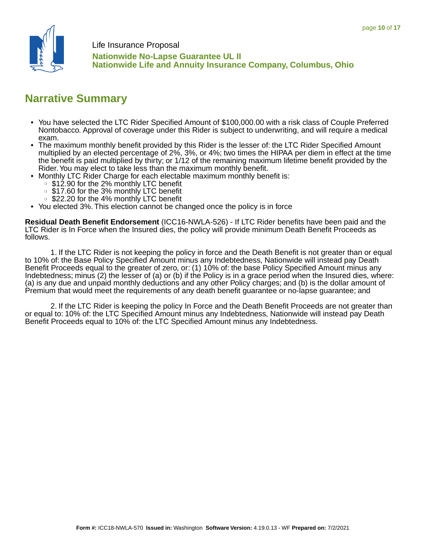

**Nationwide No-Lapse Guarantee UL II Nationwide Life and Annuity Insurance Company, Columbus, Ohio**

# **Narrative Summary**

- You have selected the LTC Rider Specified Amount of \$100,000.00 with a risk class of Couple Preferred Nontobacco. Approval of coverage under this Rider is subject to underwriting, and will require a medical exam.
- The maximum monthly benefit provided by this Rider is the lesser of: the LTC Rider Specified Amount multiplied by an elected percentage of 2%, 3%, or 4%; two times the HIPAA per diem in effect at the time the benefit is paid multiplied by thirty; or 1/12 of the remaining maximum lifetime benefit provided by the Rider. You may elect to take less than the maximum monthly benefit.
- Monthly LTC Rider Charge for each electable maximum monthly benefit is:
	- \$12.90 for the 2% monthly LTC benefit
	- ❍ \$17.60 for the 3% monthly LTC benefit
	- ❍ \$22.20 for the 4% monthly LTC benefit
- You elected 3%. This election cannot be changed once the policy is in force

**Residual Death Benefit Endorsement** (ICC16-NWLA-526) - If LTC Rider benefits have been paid and the LTC Rider is In Force when the Insured dies, the policy will provide minimum Death Benefit Proceeds as follows.

 1. If the LTC Rider is not keeping the policy in force and the Death Benefit is not greater than or equal to 10% of: the Base Policy Specified Amount minus any Indebtedness, Nationwide will instead pay Death Benefit Proceeds equal to the greater of zero, or: (1) 10% of: the base Policy Specified Amount minus any Indebtedness; minus (2) the lesser of (a) or (b) if the Policy is in a grace period when the Insured dies, where: (a) is any due and unpaid monthly deductions and any other Policy charges; and (b) is the dollar amount of Premium that would meet the requirements of any death benefit guarantee or no-lapse guarantee; and

 2. If the LTC Rider is keeping the policy In Force and the Death Benefit Proceeds are not greater than or equal to: 10% of: the LTC Specified Amount minus any Indebtedness, Nationwide will instead pay Death Benefit Proceeds equal to 10% of: the LTC Specified Amount minus any Indebtedness.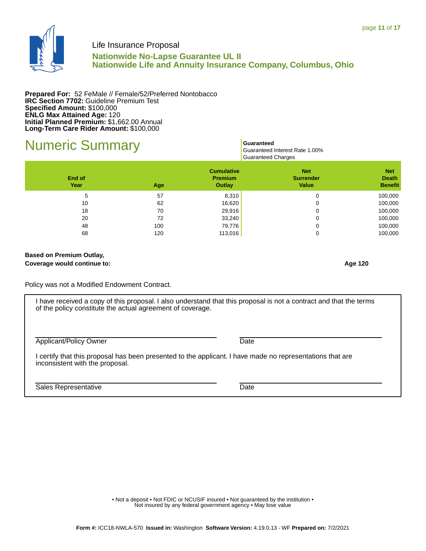

## **Nationwide No-Lapse Guarantee UL II Nationwide Life and Annuity Insurance Company, Columbus, Ohio**

**Prepared For:** 52 FeMale // Female/52/Preferred Nontobacco **IRC Section 7702: Guideline Premium Test Specified Amount:** \$100,000 **ENLG Max Attained Age:** 120 **Initial Planned Premium:** \$1,662.00 Annual **Long-Term Care Rider Amount:** \$100,000

# **Numeric Summary** Guaranteed

 Guaranteed Interest Rate 1.00% Guaranteed Charges

| End of<br>Year | Age | <b>Cumulative</b><br><b>Premium</b><br>Outlay | <b>Net</b><br><b>Surrender</b><br><b>Value</b> | <b>Net</b><br><b>Death</b><br><b>Benefit</b> |
|----------------|-----|-----------------------------------------------|------------------------------------------------|----------------------------------------------|
| 5              | 57  | 8,310                                         | 0                                              | 100,000                                      |
| 10             | 62  | 16,620                                        | 0                                              | 100,000                                      |
| 18             | 70  | 29,916                                        | 0                                              | 100,000                                      |
| 20             | 72  | 33,240                                        | 0                                              | 100,000                                      |
| 48             | 100 | 79,776                                        | 0                                              | 100,000                                      |
| 68             | 120 | 113,016                                       | 0                                              | 100,000                                      |

#### **Based on Premium Outlay, Coverage would continue to: Age 120**

Policy was not a Modified Endowment Contract.

I have received a copy of this proposal. I also understand that this proposal is not a contract and that the terms of the policy constitute the actual agreement of coverage.

Applicant/Policy Owner Date

I certify that this proposal has been presented to the applicant. I have made no representations that are inconsistent with the proposal.

Sales Representative Date

• Not a deposit • Not FDIC or NCUSIF insured • Not quaranteed by the institution • Not insured by any federal government agency . May lose value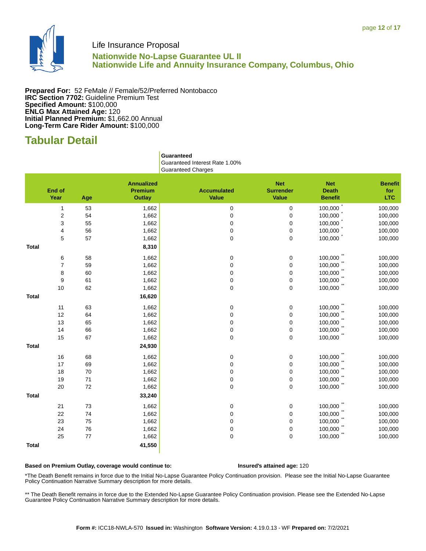

### **Nationwide No-Lapse Guarantee UL II Nationwide Life and Annuity Insurance Company, Columbus, Ohio**

**Prepared For:** 52 FeMale // Female/52/Preferred Nontobacco **IRC Section 7702:** Guideline Premium Test **Specified Amount:** \$100,000 **ENLG Max Attained Age:** 120 **Initial Planned Premium:** \$1,662.00 Annual **Long-Term Care Rider Amount:** \$100,000

# **Tabular Detail**

 **Guaranteed** Guaranteed Interest Rate 1.00% Guaranteed Charges

|              | <b>End of</b><br>Year | Age    | <b>Annualized</b><br>Premium<br><b>Outlay</b> | <b>Accumulated</b><br><b>Value</b> | <b>Net</b><br><b>Surrender</b><br><b>Value</b> | <b>Net</b><br><b>Death</b><br><b>Benefit</b> | <b>Benefit</b><br>for<br><b>LTC</b> |
|--------------|-----------------------|--------|-----------------------------------------------|------------------------------------|------------------------------------------------|----------------------------------------------|-------------------------------------|
|              | $\mathbf{1}$          | 53     | 1,662                                         | $\pmb{0}$                          | $\mathsf 0$                                    | 100,000                                      | 100,000                             |
|              | $\sqrt{2}$            | 54     | 1,662                                         | $\mathbf 0$                        | $\pmb{0}$                                      | 100,000                                      | 100,000                             |
|              | 3                     | 55     | 1,662                                         | $\pmb{0}$                          | $\mathsf 0$                                    | 100,000                                      | 100,000                             |
|              | 4                     | 56     | 1,662                                         | $\pmb{0}$                          | $\mathsf 0$                                    | 100,000                                      | 100,000                             |
|              | 5                     | 57     | 1,662                                         | 0                                  | 0                                              | 100,000                                      | 100,000                             |
| <b>Total</b> |                       |        | 8,310                                         |                                    |                                                |                                              |                                     |
|              | 6                     | 58     | 1,662                                         | 0                                  | 0                                              | 100,000                                      | 100,000                             |
|              | $\overline{7}$        | 59     | 1,662                                         | 0                                  | 0                                              | 100,000                                      | 100,000                             |
|              | 8                     | 60     | 1,662                                         | 0                                  | $\mathsf 0$                                    | 100,000                                      | 100,000                             |
|              | 9                     | 61     | 1,662                                         | 0                                  | 0                                              | 100,000                                      | 100,000                             |
|              | 10                    | 62     | 1,662                                         | $\mathsf 0$                        | 0                                              | $100,000$ **                                 | 100,000                             |
| <b>Total</b> |                       |        | 16,620                                        |                                    |                                                |                                              |                                     |
|              | 11                    | 63     | 1,662                                         | 0                                  | 0                                              | 100,000                                      | 100,000                             |
|              | 12                    | 64     | 1,662                                         | $\pmb{0}$                          | $\mathsf 0$                                    | 100,000                                      | 100,000                             |
|              | 13                    | 65     | 1,662                                         | $\pmb{0}$                          | $\mathsf 0$                                    | 100,000                                      | 100,000                             |
|              | 14                    | 66     | 1,662                                         | $\pmb{0}$                          | 0                                              | 100,000                                      | 100,000                             |
|              | 15                    | 67     | 1,662                                         | $\pmb{0}$                          | 0                                              | 100,000                                      | 100,000                             |
| <b>Total</b> |                       |        | 24,930                                        |                                    |                                                |                                              |                                     |
|              | 16                    | 68     | 1,662                                         | 0                                  | 0                                              | 100,000                                      | 100,000                             |
|              | 17                    | 69     | 1,662                                         | 0                                  | 0                                              | 100,000                                      | 100,000                             |
|              | 18                    | 70     | 1,662                                         | 0                                  | $\mathsf 0$                                    | 100,000                                      | 100,000                             |
|              | 19                    | $71$   | 1,662                                         | $\pmb{0}$                          | $\mathsf 0$                                    | 100,000                                      | 100,000                             |
|              | 20                    | $72\,$ | 1,662                                         | 0                                  | 0                                              | 100,000                                      | 100,000                             |
| <b>Total</b> |                       |        | 33,240                                        |                                    |                                                |                                              |                                     |
|              | 21                    | 73     | 1,662                                         | 0                                  | 0                                              | 100,000"                                     | 100,000                             |
|              | 22                    | 74     | 1,662                                         | 0                                  | 0                                              | 100,000                                      | 100,000                             |
|              | 23                    | 75     | 1,662                                         | $\pmb{0}$                          | $\mathsf 0$                                    | $100,000$ **                                 | 100,000                             |
|              | 24                    | 76     | 1,662                                         | $\mathbf 0$                        | $\pmb{0}$                                      | 100,000                                      | 100,000                             |
|              | 25                    | $77$   | 1,662                                         | $\mathsf 0$                        | 0                                              | 100,000                                      | 100,000                             |
| <b>Total</b> |                       |        | 41,550                                        |                                    |                                                |                                              |                                     |

#### **Based on Premium Outlay, coverage would continue to: Insured's attained age:** 120

\*The Death Benefit remains in force due to the Initial No-Lapse Guarantee Policy Continuation provision. Please see the Initial No-Lapse Guarantee Policy Continuation Narrative Summary description for more details.

\*\* The Death Benefit remains in force due to the Extended No-Lapse Guarantee Policy Continuation provision. Please see the Extended No-Lapse Guarantee Policy Continuation Narrative Summary description for more details.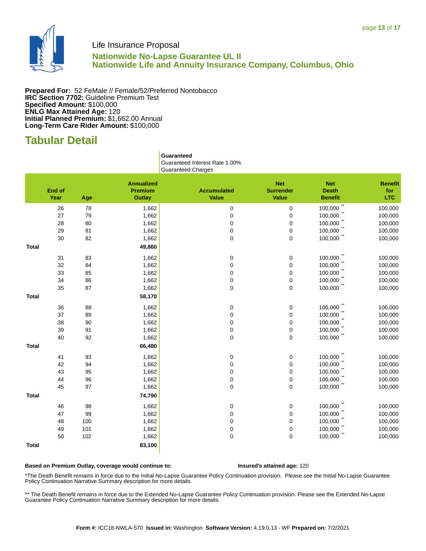

### **Nationwide No-Lapse Guarantee UL II Nationwide Life and Annuity Insurance Company, Columbus, Ohio**

**Prepared For:** 52 FeMale // Female/52/Preferred Nontobacco **IRC Section 7702:** Guideline Premium Test **Specified Amount:** \$100,000 **ENLG Max Attained Age:** 120 **Initial Planned Premium:** \$1,662.00 Annual **Long-Term Care Rider Amount:** \$100,000

# **Tabular Detail**

 **Guaranteed** Guaranteed Interest Rate 1.00% Guaranteed Charges

|              | <b>End of</b><br>Year | Age | <b>Annualized</b><br>Premium<br><b>Outlay</b> | <b>Accumulated</b><br><b>Value</b> | <b>Net</b><br><b>Surrender</b><br><b>Value</b> | <b>Net</b><br><b>Death</b><br><b>Benefit</b> | <b>Benefit</b><br>for<br><b>LTC</b> |
|--------------|-----------------------|-----|-----------------------------------------------|------------------------------------|------------------------------------------------|----------------------------------------------|-------------------------------------|
|              | 26                    | 78  | 1,662                                         | 0                                  | $\mathsf 0$                                    | 100,000                                      | 100,000                             |
|              | 27                    | 79  | 1,662                                         | $\pmb{0}$                          | $\mathsf 0$                                    | 100,000                                      | 100,000                             |
|              | 28                    | 80  | 1,662                                         | $\pmb{0}$                          | $\mathsf 0$                                    | 100,000                                      | 100,000                             |
|              | 29                    | 81  | 1,662                                         | $\pmb{0}$                          | $\mathsf 0$                                    | 100,000                                      | 100,000                             |
|              | 30                    | 82  | 1,662                                         | $\pmb{0}$                          | 0                                              | 100,000                                      | 100,000                             |
| <b>Total</b> |                       |     | 49,860                                        |                                    |                                                |                                              |                                     |
|              | 31                    | 83  | 1,662                                         | 0                                  | 0                                              | 100,000                                      | 100,000                             |
|              | 32                    | 84  | 1,662                                         | 0                                  | 0                                              | 100,000                                      | 100,000                             |
|              | 33                    | 85  | 1,662                                         | 0                                  | 0                                              | 100,000                                      | 100,000                             |
|              | 34                    | 86  | 1,662                                         | $\pmb{0}$                          | $\mathsf 0$                                    | 100,000                                      | 100,000                             |
|              | 35                    | 87  | 1,662                                         | 0                                  | 0                                              | $100,000$ **                                 | 100,000                             |
| <b>Total</b> |                       |     | 58,170                                        |                                    |                                                |                                              |                                     |
|              | 36                    | 88  | 1,662                                         | 0                                  | 0                                              | 100,000                                      | 100,000                             |
|              | 37                    | 89  | 1,662                                         | 0                                  | 0                                              | 100,000                                      | 100,000                             |
|              | 38                    | 90  | 1,662                                         | 0                                  | 0                                              | 100,000                                      | 100,000                             |
|              | 39                    | 91  | 1,662                                         | 0                                  | 0                                              | 100,000                                      | 100,000                             |
|              | 40                    | 92  | 1,662                                         | $\pmb{0}$                          | 0                                              | 100,000                                      | 100,000                             |
| <b>Total</b> |                       |     | 66,480                                        |                                    |                                                |                                              |                                     |
|              | 41                    | 93  | 1,662                                         | 0                                  | 0                                              | 100,000                                      | 100,000                             |
|              | 42                    | 94  | 1,662                                         | $\pmb{0}$                          | $\mathsf 0$                                    | 100,000                                      | 100,000                             |
|              | 43                    | 95  | 1,662                                         | 0                                  | 0                                              | 100,000                                      | 100,000                             |
|              | 44                    | 96  | 1,662                                         | 0                                  | 0                                              | 100,000                                      | 100,000                             |
|              | 45                    | 97  | 1,662                                         | $\pmb{0}$                          | 0                                              | 100,000                                      | 100,000                             |
| <b>Total</b> |                       |     | 74,790                                        |                                    |                                                |                                              |                                     |
|              | 46                    | 98  | 1,662                                         | 0                                  | 0                                              | $100,000$ **                                 | 100,000                             |
|              | 47                    | 99  | 1,662                                         | 0                                  | 0                                              | 100,000                                      | 100,000                             |
|              | 48                    | 100 | 1,662                                         | $\pmb{0}$                          | $\mathsf 0$                                    | $100,000$ **                                 | 100,000                             |
|              | 49                    | 101 | 1,662                                         | $\pmb{0}$                          | $\pmb{0}$                                      | 100,000                                      | 100,000                             |
|              | 50                    | 102 | 1,662                                         | $\mathsf 0$                        | 0                                              | 100,000                                      | 100,000                             |
| <b>Total</b> |                       |     | 83,100                                        |                                    |                                                |                                              |                                     |

#### **Based on Premium Outlay, coverage would continue to: Insured's attained age:** 120

\*The Death Benefit remains in force due to the Initial No-Lapse Guarantee Policy Continuation provision. Please see the Initial No-Lapse Guarantee Policy Continuation Narrative Summary description for more details.

\*\* The Death Benefit remains in force due to the Extended No-Lapse Guarantee Policy Continuation provision. Please see the Extended No-Lapse Guarantee Policy Continuation Narrative Summary description for more details.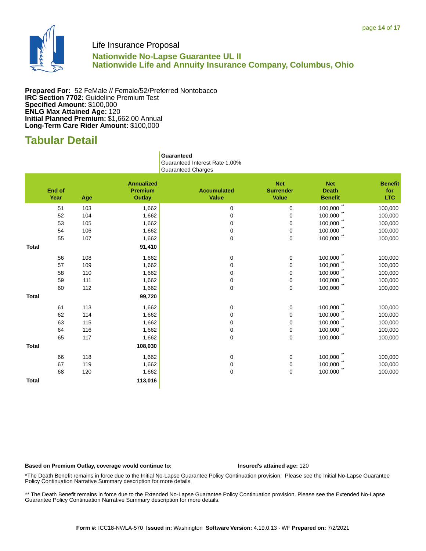

### **Nationwide No-Lapse Guarantee UL II Nationwide Life and Annuity Insurance Company, Columbus, Ohio**

**Prepared For:** 52 FeMale // Female/52/Preferred Nontobacco **IRC Section 7702:** Guideline Premium Test **Specified Amount:** \$100,000 **ENLG Max Attained Age:** 120 **Initial Planned Premium:** \$1,662.00 Annual **Long-Term Care Rider Amount:** \$100,000

# **Tabular Detail**

 **Guaranteed** Guaranteed Interest Rate 1.00% Guaranteed Charges

|              | End of<br>Year | Age | <b>Annualized</b><br><b>Premium</b><br>Outlay | <b>Accumulated</b><br><b>Value</b> | <b>Net</b><br><b>Surrender</b><br><b>Value</b> | <b>Net</b><br><b>Death</b><br><b>Benefit</b> | <b>Benefit</b><br>for<br><b>LTC</b> |
|--------------|----------------|-----|-----------------------------------------------|------------------------------------|------------------------------------------------|----------------------------------------------|-------------------------------------|
|              | 51             | 103 | 1,662                                         | 0                                  | 0                                              | $\star\star$<br>100,000                      | 100,000                             |
|              | 52             | 104 | 1,662                                         | $\mathbf 0$                        | 0                                              | 100,000                                      | 100,000                             |
|              | 53             | 105 | 1,662                                         | $\mathbf 0$                        | 0                                              | 100,000                                      | 100,000                             |
|              | 54             | 106 | 1,662                                         | $\mathbf 0$                        | 0                                              | 100,000                                      | 100,000                             |
|              | 55             | 107 | 1,662                                         | $\mathbf 0$                        | 0                                              | 100,000                                      | 100,000                             |
| <b>Total</b> |                |     | 91,410                                        |                                    |                                                |                                              |                                     |
|              | 56             | 108 | 1,662                                         | 0                                  | 0                                              | 100,000                                      | 100,000                             |
|              | 57             | 109 | 1,662                                         | $\mathbf 0$                        | 0                                              | 100,000                                      | 100,000                             |
|              | 58             | 110 | 1,662                                         | 0                                  | 0                                              | 100,000                                      | 100,000                             |
|              | 59             | 111 | 1,662                                         | $\mathbf 0$                        | 0                                              | 100,000                                      | 100,000                             |
|              | 60             | 112 | 1,662                                         | $\mathbf 0$                        | 0                                              | 100,000                                      | 100,000                             |
| <b>Total</b> |                |     | 99,720                                        |                                    |                                                |                                              |                                     |
|              | 61             | 113 | 1,662                                         | 0                                  | 0                                              | 100,000                                      | 100,000                             |
|              | 62             | 114 | 1,662                                         | $\mathbf 0$                        | 0                                              | 100,000                                      | 100,000                             |
|              | 63             | 115 | 1,662                                         | $\mathbf 0$                        | 0                                              | 100,000                                      | 100,000                             |
|              | 64             | 116 | 1,662                                         | $\mathbf 0$                        | 0                                              | 100,000                                      | 100,000                             |
|              | 65             | 117 | 1,662                                         | $\mathbf 0$                        | 0                                              | 100,000                                      | 100,000                             |
| <b>Total</b> |                |     | 108,030                                       |                                    |                                                |                                              |                                     |
|              | 66             | 118 | 1,662                                         | 0                                  | 0                                              | 100,000                                      | 100,000                             |
|              | 67             | 119 | 1,662                                         | $\mathbf 0$                        | 0                                              | 100,000                                      | 100,000                             |
|              | 68             | 120 | 1,662                                         | $\mathbf 0$                        | 0                                              | 100,000                                      | 100,000                             |
| <b>Total</b> |                |     | 113,016                                       |                                    |                                                |                                              |                                     |

#### **Based on Premium Outlay, coverage would continue to: Insured's attained age:** 120

\*The Death Benefit remains in force due to the Initial No-Lapse Guarantee Policy Continuation provision. Please see the Initial No-Lapse Guarantee Policy Continuation Narrative Summary description for more details.

\*\* The Death Benefit remains in force due to the Extended No-Lapse Guarantee Policy Continuation provision. Please see the Extended No-Lapse Guarantee Policy Continuation Narrative Summary description for more details.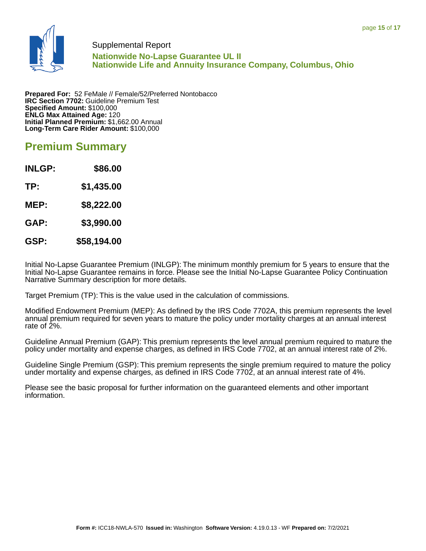

### Supplemental Report

**Nationwide No-Lapse Guarantee UL II Nationwide Life and Annuity Insurance Company, Columbus, Ohio**

**Prepared For:** 52 FeMale // Female/52/Preferred Nontobacco **IRC Section 7702:** Guideline Premium Test **Specified Amount:** \$100,000 **ENLG Max Attained Age:** 120 **Initial Planned Premium:** \$1,662.00 Annual **Long-Term Care Rider Amount:** \$100,000

## **Premium Summary**

**INLGP: \$86.00 TP: \$1,435.00 MEP: \$8,222.00 GAP: \$3,990.00 GSP: \$58,194.00**

Initial No-Lapse Guarantee Premium (INLGP): The minimum monthly premium for 5 years to ensure that the Initial No-Lapse Guarantee remains in force. Please see the Initial No-Lapse Guarantee Policy Continuation Narrative Summary description for more details.

Target Premium (TP): This is the value used in the calculation of commissions.

Modified Endowment Premium (MEP): As defined by the IRS Code 7702A, this premium represents the level annual premium required for seven years to mature the policy under mortality charges at an annual interest rate of 2%.

Guideline Annual Premium (GAP): This premium represents the level annual premium required to mature the policy under mortality and expense charges, as defined in IRS Code 7702, at an annual interest rate of 2%.

Guideline Single Premium (GSP): This premium represents the single premium required to mature the policy under mortality and expense charges, as defined in IRS Code 7702, at an annual interest rate of 4%.

Please see the basic proposal for further information on the guaranteed elements and other important information.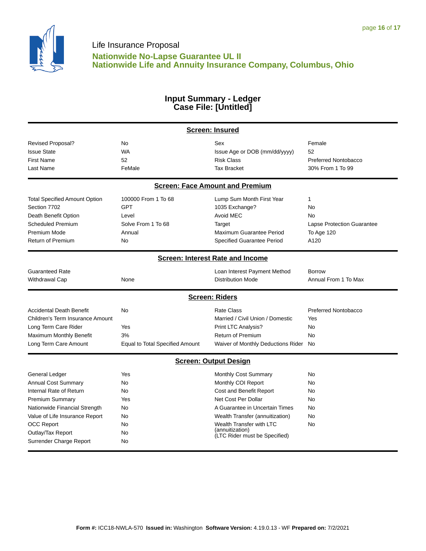

### **Input Summary - Ledger Case File: [Untitled]**

|                                      | <b>Screen: Insured</b>          |                                         |                                   |  |
|--------------------------------------|---------------------------------|-----------------------------------------|-----------------------------------|--|
| <b>Revised Proposal?</b>             | No                              | Sex                                     | Female                            |  |
| <b>Issue State</b>                   | <b>WA</b>                       | Issue Age or DOB (mm/dd/yyyy)           | 52                                |  |
| <b>First Name</b>                    | 52                              | <b>Risk Class</b>                       | Preferred Nontobacco              |  |
| Last Name                            | FeMale                          | <b>Tax Bracket</b>                      | 30% From 1 To 99                  |  |
|                                      |                                 | <b>Screen: Face Amount and Premium</b>  |                                   |  |
| <b>Total Specified Amount Option</b> | 100000 From 1 To 68             | Lump Sum Month First Year               | 1                                 |  |
| Section 7702                         | <b>GPT</b>                      | 1035 Exchange?                          | <b>No</b>                         |  |
| Death Benefit Option                 | Level                           | Avoid MEC                               | No                                |  |
| <b>Scheduled Premium</b>             | Solve From 1 To 68              | Target                                  | <b>Lapse Protection Guarantee</b> |  |
| Premium Mode                         | Annual                          | Maximum Guarantee Period                | <b>To Age 120</b>                 |  |
| <b>Return of Premium</b>             | No                              | Specified Guarantee Period              | A120                              |  |
|                                      |                                 | <b>Screen: Interest Rate and Income</b> |                                   |  |
| <b>Guaranteed Rate</b>               |                                 | Loan Interest Payment Method            | <b>Borrow</b>                     |  |
| <b>Withdrawal Cap</b>                | None                            | <b>Distribution Mode</b>                | Annual From 1 To Max              |  |
|                                      |                                 | <b>Screen: Riders</b>                   |                                   |  |
| <b>Accidental Death Benefit</b>      | No                              | <b>Rate Class</b>                       | Preferred Nontobacco              |  |
| Children's Term Insurance Amount     |                                 | Married / Civil Union / Domestic        | Yes                               |  |
| Long Term Care Rider                 | Yes                             | Print LTC Analysis?                     | No                                |  |
| Maximum Monthly Benefit              | 3%                              | <b>Return of Premium</b>                | <b>No</b>                         |  |
| Long Term Care Amount                | Equal to Total Specified Amount | Waiver of Monthly Deductions Rider      | No                                |  |
|                                      |                                 | <b>Screen: Output Design</b>            |                                   |  |
| General Ledger                       | Yes                             | Monthly Cost Summary                    | No                                |  |
| <b>Annual Cost Summary</b>           | <b>No</b>                       | Monthly COI Report                      | No                                |  |
| Internal Rate of Return              | No                              | Cost and Benefit Report                 | No                                |  |
| <b>Premium Summary</b>               | Yes                             | Net Cost Per Dollar                     | No                                |  |
| Nationwide Financial Strength        | No                              | A Guarantee in Uncertain Times          | No                                |  |
| Value of Life Insurance Report       | No                              | Wealth Transfer (annuitization)         | No                                |  |
| <b>OCC Report</b>                    | No                              | Wealth Transfer with LTC                | No                                |  |
| Outlay/Tax Report                    | No                              | (annuitization)                         |                                   |  |
| Surrender Charge Report              | No                              |                                         |                                   |  |
|                                      |                                 | (LTC Rider must be Specified)           |                                   |  |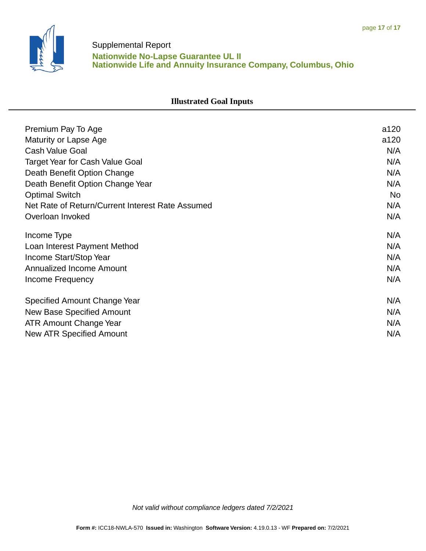

## Supplemental Report **Nationwide No-Lapse Guarantee UL II Nationwide Life and Annuity Insurance Company, Columbus, Ohio**

## **Illustrated Goal Inputs**

| Premium Pay To Age                               | a120 |
|--------------------------------------------------|------|
| Maturity or Lapse Age                            | a120 |
| <b>Cash Value Goal</b>                           | N/A  |
| <b>Target Year for Cash Value Goal</b>           | N/A  |
| Death Benefit Option Change                      | N/A  |
| Death Benefit Option Change Year                 | N/A  |
| <b>Optimal Switch</b>                            | No   |
| Net Rate of Return/Current Interest Rate Assumed | N/A  |
| Overloan Invoked                                 | N/A  |
| Income Type                                      | N/A  |
| Loan Interest Payment Method                     | N/A  |
| Income Start/Stop Year                           | N/A  |
| Annualized Income Amount                         | N/A  |
| Income Frequency                                 | N/A  |
| Specified Amount Change Year                     | N/A  |
| New Base Specified Amount                        | N/A  |
| <b>ATR Amount Change Year</b>                    | N/A  |
| New ATR Specified Amount                         | N/A  |

Not valid without compliance ledgers dated 7/2/2021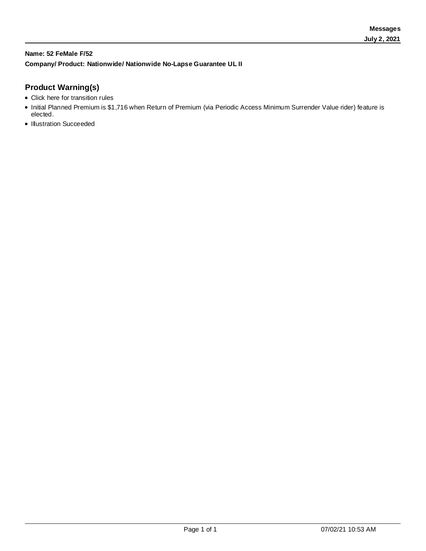### **Name: 52 FeMale F/52 Company/ Product: Nationwide/ Nationwide No-Lapse Guarantee UL II**

### **Product Warning(s)**

- Click here for transition rules
- Initial Planned Premium is \$1,716 when Return of Premium (via Periodic Access Minimum Surrender Value rider) feature is elected.
- Illustration Succeeded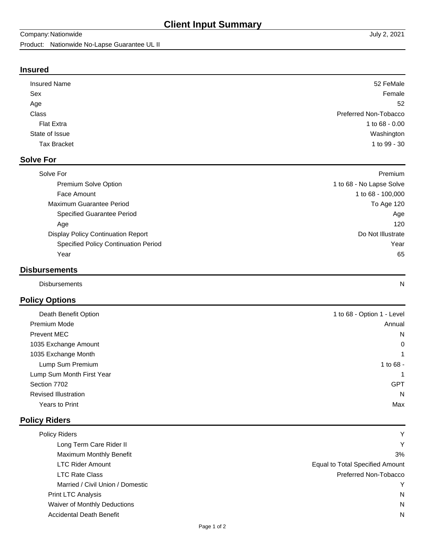### **Insured**

| <b>Insured Name</b> | 52 FeMale             |
|---------------------|-----------------------|
| Sex                 | Female                |
| Age                 | 52                    |
| Class               | Preferred Non-Tobacco |
| <b>Flat Extra</b>   | 1 to 68 - 0.00        |
| State of Issue      | Washington            |
| <b>Tax Bracket</b>  | 1 to 99 - 30          |
|                     |                       |

### **Solve For**

| Solve For                                   | Premium                  |
|---------------------------------------------|--------------------------|
| <b>Premium Solve Option</b>                 | 1 to 68 - No Lapse Solve |
| Face Amount                                 | 1 to 68 - 100,000        |
| Maximum Guarantee Period                    | To Age 120               |
| <b>Specified Guarantee Period</b>           | Age                      |
| Age                                         | 120                      |
| <b>Display Policy Continuation Report</b>   | Do Not Illustrate        |
| <b>Specified Policy Continuation Period</b> | Year                     |
| Year                                        | 65                       |
|                                             |                          |

## **Disbursements**

Disbursements N

## **Policy Options**

| Death Benefit Option        | 1 to 68 - Option 1 - Level |
|-----------------------------|----------------------------|
| <b>Premium Mode</b>         | Annual                     |
| Prevent MEC                 | N                          |
| 1035 Exchange Amount        | $\mathbf 0$                |
| 1035 Exchange Month         | $\mathbf{1}$               |
| Lump Sum Premium            | 1 to 68 -                  |
| Lump Sum Month First Year   | $\mathbf{1}$               |
| Section 7702                | <b>GPT</b>                 |
| <b>Revised Illustration</b> | N                          |
| Years to Print              | Max                        |
|                             |                            |

### **Policy Riders**

| <b>Policy Riders</b>             | ٧                               |
|----------------------------------|---------------------------------|
| Long Term Care Rider II          | Υ                               |
| <b>Maximum Monthly Benefit</b>   | 3%                              |
| <b>LTC Rider Amount</b>          | Equal to Total Specified Amount |
| <b>LTC Rate Class</b>            | Preferred Non-Tobacco           |
| Married / Civil Union / Domestic | v                               |
| <b>Print LTC Analysis</b>        | N                               |
| Waiver of Monthly Deductions     | N                               |
| <b>Accidental Death Benefit</b>  | N                               |
|                                  |                                 |